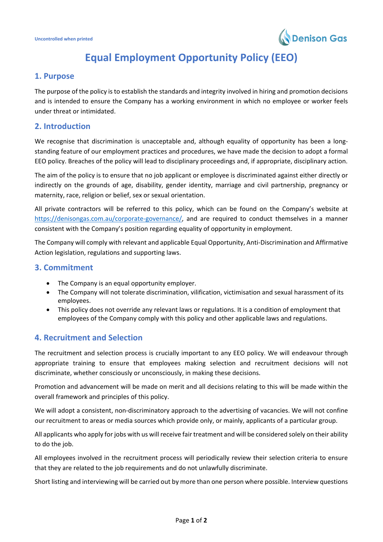

# **Equal Employment Opportunity Policy (EEO)**

#### **1. Purpose**

The purpose of the policy is to establish the standards and integrity involved in hiring and promotion decisions and is intended to ensure the Company has a working environment in which no employee or worker feels under threat or intimidated.

#### **2. Introduction**

We recognise that discrimination is unacceptable and, although equality of opportunity has been a longstanding feature of our employment practices and procedures, we have made the decision to adopt a formal EEO policy. Breaches of the policy will lead to disciplinary proceedings and, if appropriate, disciplinary action.

The aim of the policy is to ensure that no job applicant or employee is discriminated against either directly or indirectly on the grounds of age, disability, gender identity, marriage and civil partnership, pregnancy or maternity, race, religion or belief, sex or sexual orientation.

All private contractors will be referred to this policy, which can be found on the Company's website at [https://denisongas.com.au/corporate-governance/,](https://denisongas.com.au/corporate-governance/) and are required to conduct themselves in a manner consistent with the Company's position regarding equality of opportunity in employment.

The Company will comply with relevant and applicable Equal Opportunity, Anti-Discrimination and Affirmative Action legislation, regulations and supporting laws.

### **3. Commitment**

- The Company is an equal opportunity employer.
- The Company will not tolerate discrimination, vilification, victimisation and sexual harassment of its employees.
- This policy does not override any relevant laws or regulations. It is a condition of employment that employees of the Company comply with this policy and other applicable laws and regulations.

## **4. Recruitment and Selection**

The recruitment and selection process is crucially important to any EEO policy. We will endeavour through appropriate training to ensure that employees making selection and recruitment decisions will not discriminate, whether consciously or unconsciously, in making these decisions.

Promotion and advancement will be made on merit and all decisions relating to this will be made within the overall framework and principles of this policy.

We will adopt a consistent, non-discriminatory approach to the advertising of vacancies. We will not confine our recruitment to areas or media sources which provide only, or mainly, applicants of a particular group.

All applicants who apply for jobs with us will receive fair treatment and will be considered solely on their ability to do the job.

All employees involved in the recruitment process will periodically review their selection criteria to ensure that they are related to the job requirements and do not unlawfully discriminate.

Short listing and interviewing will be carried out by more than one person where possible. Interview questions